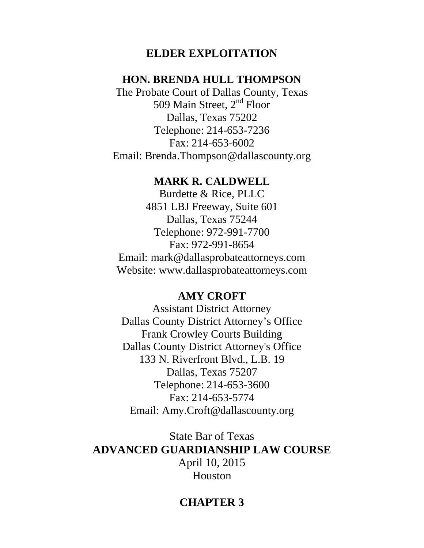# **ELDER EXPLOITATION**

# **HON. BRENDA HULL THOMPSON**

The Probate Court of Dallas County, Texas 509 Main Street, 2<sup>nd</sup> Floor Dallas, Texas 75202 Telephone: 214-653-7236 Fax: 214-653-6002 Email: Brenda.Thompson@dallascounty.org

### **MARK R. CALDWELL**

Burdette & Rice, PLLC 4851 LBJ Freeway, Suite 601 Dallas, Texas 75244 Telephone: 972-991-7700 Fax: 972-991-8654 Email: mark@dallasprobateattorneys.com Website: www.dallasprobateattorneys.com

# **AMY CROFT**

Assistant District Attorney Dallas County District Attorney's Office Frank Crowley Courts Building Dallas County District Attorney's Office 133 N. Riverfront Blvd., L.B. 19 Dallas, Texas 75207 Telephone: 214-653-3600 Fax: 214-653-5774 Email: Amy.Croft@dallascounty.org

State Bar of Texas **ADVANCED GUARDIANSHIP LAW COURSE** April 10, 2015 Houston

# **CHAPTER 3**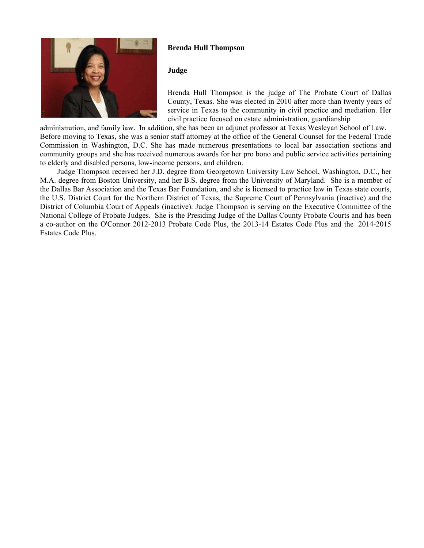

### **Brenda Hull Thompson**

Brenda Hull Thompson is the judge of The Probate Court of Dallas County, Texas. She was elected in 2010 after more than twenty years of service in Texas to the community in civil practice and mediation. Her civil practice focused on estate administration, guardianship

 administration, and family law. In addition, she has been an adjunct professor at Texas Wesleyan School of Law. Before moving to Texas, she was a senior staff attorney at the office of the General Counsel for the Federal Trade Commission in Washington, D.C. She has made numerous presentations to local bar association sections and community groups and she has received numerous awards for her pro bono and public service activities pertaining to elderly and disabled persons, low-income persons, and children.

 Judge Thompson received her J.D. degree from Georgetown University Law School, Washington, D.C., her M.A. degree from Boston University, and her B.S. degree from the University of Maryland. She is a member of the Dallas Bar Association and the Texas Bar Foundation, and she is licensed to practice law in Texas state courts, the U.S. District Court for the Northern District of Texas, the Supreme Court of Pennsylvania (inactive) and the District of Columbia Court of Appeals (inactive). Judge Thompson is serving on the Executive Committee of the National College of Probate Judges. She is the Presiding Judge of the Dallas County Probate Courts and has been a co-author on the O'Connor 2012-2013 Probate Code Plus, the 2013-14 Estates Code Plus and the 2014-2015 Estates Code Plus.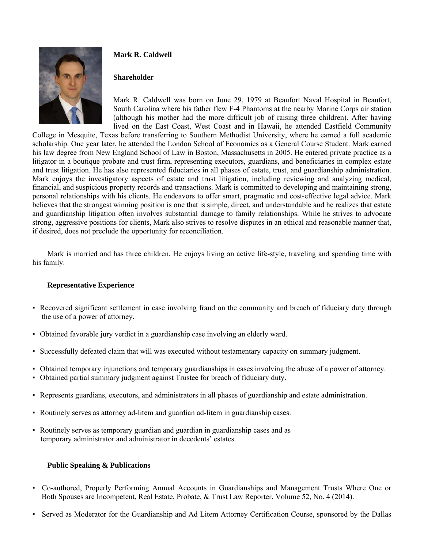

### **Mark R. Caldwell**

### **Shareholder**

Mark R. Caldwell was born on June 29, 1979 at Beaufort Naval Hospital in Beaufort, South Carolina where his father flew F-4 Phantoms at the nearby Marine Corps air station (although his mother had the more difficult job of raising three children). After having lived on the East Coast, West Coast and in Hawaii, he attended Eastfield Community

College in Mesquite, Texas before transferring to Southern Methodist University, where he earned a full academic scholarship. One year later, he attended the London School of Economics as a General Course Student. Mark earned his law degree from New England School of Law in Boston, Massachusetts in 2005. He entered private practice as a litigator in a boutique probate and trust firm, representing executors, guardians, and beneficiaries in complex estate and trust litigation. He has also represented fiduciaries in all phases of estate, trust, and guardianship administration. Mark enjoys the investigatory aspects of estate and trust litigation, including reviewing and analyzing medical, financial, and suspicious property records and transactions. Mark is committed to developing and maintaining strong, personal relationships with his clients. He endeavors to offer smart, pragmatic and cost-effective legal advice. Mark believes that the strongest winning position is one that is simple, direct, and understandable and he realizes that estate and guardianship litigation often involves substantial damage to family relationships. While he strives to advocate strong, aggressive positions for clients, Mark also strives to resolve disputes in an ethical and reasonable manner that, if desired, does not preclude the opportunity for reconciliation.

Mark is married and has three children. He enjoys living an active life-style, traveling and spending time with his family.

### **Representative Experience**

- Recovered significant settlement in case involving fraud on the community and breach of fiduciary duty through the use of a power of attorney.
- Obtained favorable jury verdict in a guardianship case involving an elderly ward.
- Successfully defeated claim that will was executed without testamentary capacity on summary judgment.
- Obtained temporary injunctions and temporary guardianships in cases involving the abuse of a power of attorney.
- Obtained partial summary judgment against Trustee for breach of fiduciary duty.
- Represents guardians, executors, and administrators in all phases of guardianship and estate administration.
- Routinely serves as attorney ad-litem and guardian ad-litem in guardianship cases.
- Routinely serves as temporary guardian and guardian in guardianship cases and as temporary administrator and administrator in decedents' estates.

#### **Public Speaking & Publications**

- Co-authored, Properly Performing Annual Accounts in Guardianships and Management Trusts Where One or Both Spouses are Incompetent, Real Estate, Probate, & Trust Law Reporter, Volume 52, No. 4 (2014).
- Served as Moderator for the Guardianship and Ad Litem Attorney Certification Course, sponsored by the Dallas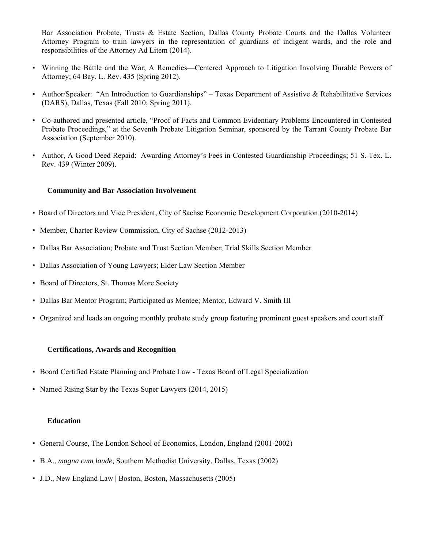Bar Association Probate, Trusts & Estate Section, Dallas County Probate Courts and the Dallas Volunteer Attorney Program to train lawyers in the representation of guardians of indigent wards, and the role and responsibilities of the Attorney Ad Litem (2014).

- Winning the Battle and the War; A Remedies—Centered Approach to Litigation Involving Durable Powers of Attorney; 64 Bay. L. Rev. 435 (Spring 2012).
- Author/Speaker: "An Introduction to Guardianships" Texas Department of Assistive & Rehabilitative Services (DARS), Dallas, Texas (Fall 2010; Spring 2011).
- Co-authored and presented article, "Proof of Facts and Common Evidentiary Problems Encountered in Contested Probate Proceedings," at the Seventh Probate Litigation Seminar, sponsored by the Tarrant County Probate Bar Association (September 2010).
- Author, A Good Deed Repaid: Awarding Attorney's Fees in Contested Guardianship Proceedings; 51 S. Tex. L. Rev. 439 (Winter 2009).

#### **Community and Bar Association Involvement**

- Board of Directors and Vice President, City of Sachse Economic Development Corporation (2010-2014)
- Member, Charter Review Commission, City of Sachse (2012-2013)
- Dallas Bar Association; Probate and Trust Section Member; Trial Skills Section Member
- Dallas Association of Young Lawyers; Elder Law Section Member
- Board of Directors, St. Thomas More Society
- Dallas Bar Mentor Program; Participated as Mentee; Mentor, Edward V. Smith III
- Organized and leads an ongoing monthly probate study group featuring prominent guest speakers and court staff

#### **Certifications, Awards and Recognition**

- Board Certified Estate Planning and Probate Law Texas Board of Legal Specialization
- Named Rising Star by the Texas Super Lawyers (2014, 2015)

#### **Education**

- General Course, The London School of Economics, London, England (2001-2002)
- B.A., *magna cum laude,* Southern Methodist University, Dallas, Texas (2002)
- J.D., New England Law | Boston, Boston, Massachusetts (2005)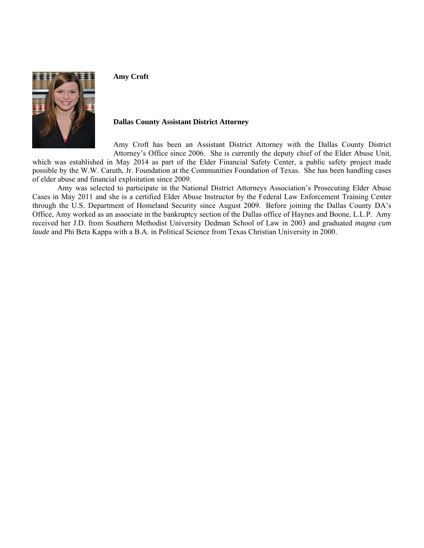

**Amy Croft** 

#### **Dallas County Assistant District Attorney**

Amy Croft has been an Assistant District Attorney with the Dallas County District Attorney's Office since 2006. She is currently the deputy chief of the Elder Abuse Unit,

which was established in May 2014 as part of the Elder Financial Safety Center, a public safety project made possible by the W.W. Caruth, Jr. Foundation at the Communities Foundation of Texas. She has been handling cases of elder abuse and financial exploitation since 2009.

Amy was selected to participate in the National District Attorneys Association's Prosecuting Elder Abuse Cases in May 2011 and she is a certified Elder Abuse Instructor by the Federal Law Enforcement Training Center through the U.S. Department of Homeland Security since August 2009. Before joining the Dallas County DA's Office, Amy worked as an associate in the bankruptcy section of the Dallas office of Haynes and Boone, L.L.P. Amy received her J.D. from Southern Methodist University Dedman School of Law in 2003 and graduated *magna cum laude* and Phi Beta Kappa with a B.A. in Political Science from Texas Christian University in 2000.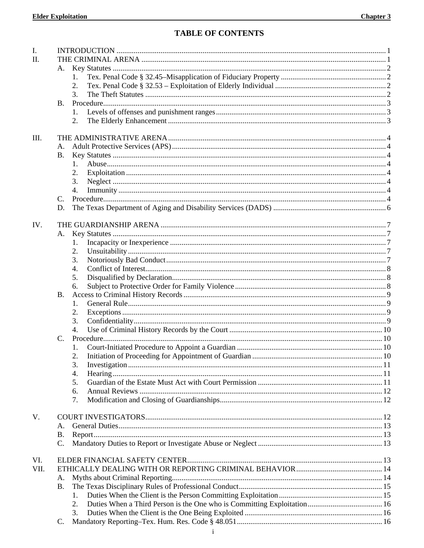### **TABLE OF CONTENTS**

| I.   |                |    |  |  |  |  |
|------|----------------|----|--|--|--|--|
| II.  |                |    |  |  |  |  |
|      | A.             |    |  |  |  |  |
|      |                | 1. |  |  |  |  |
|      |                | 2. |  |  |  |  |
|      |                | 3. |  |  |  |  |
|      | <b>B.</b>      |    |  |  |  |  |
|      |                |    |  |  |  |  |
|      |                | 2. |  |  |  |  |
|      |                |    |  |  |  |  |
| III. |                |    |  |  |  |  |
|      | А.             |    |  |  |  |  |
|      | <b>B.</b>      |    |  |  |  |  |
|      |                | 1. |  |  |  |  |
|      |                |    |  |  |  |  |
|      |                | 2. |  |  |  |  |
|      |                | 3. |  |  |  |  |
|      |                | 4. |  |  |  |  |
|      | C.             |    |  |  |  |  |
|      | D.             |    |  |  |  |  |
|      |                |    |  |  |  |  |
| IV.  |                |    |  |  |  |  |
|      | А.             |    |  |  |  |  |
|      |                | 1. |  |  |  |  |
|      |                | 2. |  |  |  |  |
|      |                | 3. |  |  |  |  |
|      |                | 4. |  |  |  |  |
|      |                | 5. |  |  |  |  |
|      |                | 6. |  |  |  |  |
|      | <b>B.</b>      |    |  |  |  |  |
|      |                | 1. |  |  |  |  |
|      |                | 2. |  |  |  |  |
|      |                | 3. |  |  |  |  |
|      |                | 4. |  |  |  |  |
|      | $\mathbf{C}$ . |    |  |  |  |  |
|      |                |    |  |  |  |  |
|      |                |    |  |  |  |  |
|      |                | 3. |  |  |  |  |
|      |                | 4. |  |  |  |  |
|      |                | 5. |  |  |  |  |
|      |                | 6. |  |  |  |  |
|      |                | 7. |  |  |  |  |
|      |                |    |  |  |  |  |
| V.   |                |    |  |  |  |  |
|      | А.             |    |  |  |  |  |
|      | <b>B.</b>      |    |  |  |  |  |
|      | C.             |    |  |  |  |  |
|      |                |    |  |  |  |  |
| VI.  |                |    |  |  |  |  |
| VII. |                |    |  |  |  |  |
|      | A.             |    |  |  |  |  |
|      | <b>B.</b>      |    |  |  |  |  |
|      |                |    |  |  |  |  |
|      |                | 1. |  |  |  |  |
|      |                | 2. |  |  |  |  |
|      |                | 3. |  |  |  |  |
|      | C.             |    |  |  |  |  |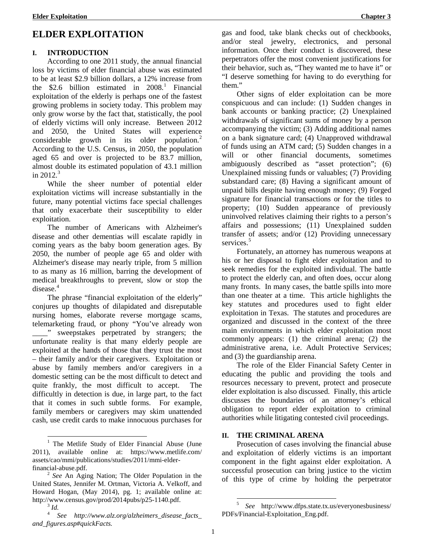# **ELDER EXPLOITATION**

### **I. INTRODUCTION**

According to one 2011 study, the annual financial loss by victims of elder financial abuse was estimated to be at least \$2.9 billion dollars, a 12% increase from the  $$2.6$  billion estimated in  $2008$ <sup>[1](#page-10-0)</sup> Financial exploitation of the elderly is perhaps one of the fastest growing problems in society today. This problem may only grow worse by the fact that, statistically, the pool of elderly victims will only increase. Between 2012 and 2050, the United States will experience considerable growth in its older population.<sup>[2](#page-10-1)</sup> According to the U.S. Census, in 2050, the population aged 65 and over is projected to be 83.7 million, almost double its estimated population of 43.1 million in  $2012.<sup>3</sup>$  $2012.<sup>3</sup>$  $2012.<sup>3</sup>$ 

While the sheer number of potential elder exploitation victims will increase substantially in the future, many potential victims face special challenges that only exacerbate their susceptibility to elder exploitation.

The number of Americans with Alzheimer's disease and other dementias will escalate rapidly in coming years as the baby boom generation ages. By 2050, the number of people age 65 and older with Alzheimer's disease may nearly triple, from 5 million to as many as 16 million, barring the development of medical breakthroughs to prevent, slow or stop the disease. [4](#page-10-3)

The phrase "financial exploitation of the elderly" conjures up thoughts of dilapidated and disreputable nursing homes, elaborate reverse mortgage scams, telemarketing fraud, or phony "You've already won \_\_\_\_" sweepstakes perpetrated by strangers; the unfortunate reality is that many elderly people are exploited at the hands of those that they trust the most – their family and/or their caregivers. Exploitation or abuse by family members and/or caregivers in a domestic setting can be the most difficult to detect and quite frankly, the most difficult to accept. The difficultly in detection is due, in large part, to the fact that it comes in such subtle forms. For example, family members or caregivers may skim unattended cash, use credit cards to make innocuous purchases for gas and food, take blank checks out of checkbooks, and/or steal jewelry, electronics, and personal information. Once their conduct is discovered, these perpetrators offer the most convenient justifications for their behavior, such as, "They wanted me to have it" or "I deserve something for having to do everything for them."

Other signs of elder exploitation can be more conspicuous and can include: (1) Sudden changes in bank accounts or banking practice; (2) Unexplained withdrawals of significant sums of money by a person accompanying the victim; (3) Adding additional names on a bank signature card; (4) Unapproved withdrawal of funds using an ATM card; (5) Sudden changes in a will or other financial documents, sometimes ambiguously described as "asset protection"; (6) Unexplained missing funds or valuables; (7) Providing substandard care; (8) Having a significant amount of unpaid bills despite having enough money; (9) Forged signature for financial transactions or for the titles to property; (10) Sudden appearance of previously uninvolved relatives claiming their rights to a person's affairs and possessions; (11) Unexplained sudden transfer of assets; and/or (12) Providing unnecessary services.<sup>[5](#page-10-4)</sup>

Fortunately, an attorney has numerous weapons at his or her disposal to fight elder exploitation and to seek remedies for the exploited individual. The battle to protect the elderly can, and often does, occur along many fronts. In many cases, the battle spills into more than one theater at a time. This article highlights the key statutes and procedures used to fight elder exploitation in Texas. The statutes and procedures are organized and discussed in the context of the three main environments in which elder exploitation most commonly appears: (1) the criminal arena; (2) the administrative arena, i.e. Adult Protective Services; and (3) the guardianship arena.

The role of the Elder Financial Safety Center in educating the public and providing the tools and resources necessary to prevent, protect and prosecute elder exploitation is also discussed. Finally, this article discusses the boundaries of an attorney's ethical obligation to report elder exploitation to criminal authorities while litigating contested civil proceedings.

### **II. THE CRIMINAL ARENA**

Prosecution of cases involving the financial abuse and exploitation of elderly victims is an important component in the fight against elder exploitation. A successful prosecution can bring justice to the victim of this type of crime by holding the perpetrator

<span id="page-10-0"></span> <sup>1</sup> The Metlife Study of Elder Financial Abuse (June 2011), available online at: https://www.metlife.com/ assets/cao/mmi/publications/studies/2011/mmi-elder-

<span id="page-10-1"></span>financial-abuse.pdf. <sup>2</sup> *See* An Aging Nation; The Older Population in the United States, Jennifer M. Ortman, Victoria A. Velkoff, and Howard Hogan, (May 2014), pg. 1; available online at: http://www.census.gov/prod/2014pubs/p25-1140.pdf. <sup>3</sup> *Id.*

<span id="page-10-4"></span><span id="page-10-3"></span><span id="page-10-2"></span><sup>4</sup> *See http://www.alz.org/alzheimers\_disease\_facts\_ and\_figures.asp#quickFacts.*

 <sup>5</sup> *See* http://www.dfps.state.tx.us/everyonesbusiness/ PDFs/Financial-Exploitation\_Eng.pdf.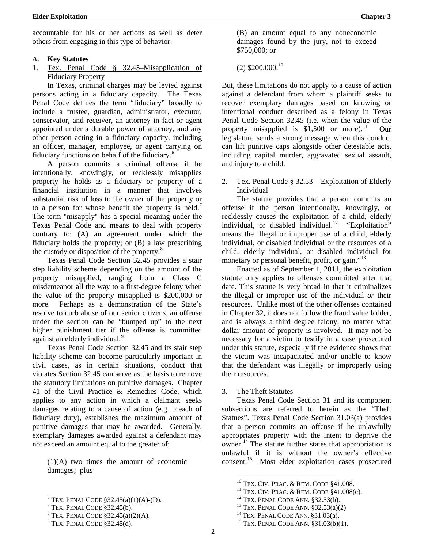accountable for his or her actions as well as deter others from engaging in this type of behavior.

### **A. Key Statutes**

1. Tex. Penal Code § 32.45–Misapplication of Fiduciary Property

In Texas, criminal charges may be levied against persons acting in a fiduciary capacity. The Texas Penal Code defines the term "fiduciary" broadly to include a trustee, guardian, administrator, executor, conservator, and receiver, an attorney in fact or agent appointed under a durable power of attorney, and any other person acting in a fiduciary capacity, including an officer, manager, employee, or agent carrying on fiduciary functions on behalf of the fiduciary.[6](#page-11-0)

A person commits a criminal offense if he intentionally, knowingly, or recklessly misapplies property he holds as a fiduciary or property of a financial institution in a manner that involves substantial risk of loss to the owner of the property or to a person for whose benefit the property is held.<sup>[7](#page-11-1)</sup> The term "misapply" has a special meaning under the Texas Penal Code and means to deal with property contrary to: (A) an agreement under which the fiduciary holds the property; or (B) a law prescribing the custody or disposition of the property. $8$ 

Texas Penal Code Section 32.45 provides a stair step liability scheme depending on the amount of the property misapplied, ranging from a Class C misdemeanor all the way to a first-degree felony when the value of the property misapplied is \$200,000 or more. Perhaps as a demonstration of the State's resolve to curb abuse of our senior citizens, an offense under the section can be "bumped up" to the next higher punishment tier if the offense is committed against an elderly individual.<sup>[9](#page-11-3)</sup>

Texas Penal Code Section 32.45 and its stair step liability scheme can become particularly important in civil cases, as in certain situations, conduct that violates Section 32.45 can serve as the basis to remove the statutory limitations on punitive damages. Chapter 41 of the Civil Practice & Remedies Code, which applies to any action in which a claimant seeks damages relating to a cause of action (e.g. breach of fiduciary duty), establishes the maximum amount of punitive damages that may be awarded. Generally, exemplary damages awarded against a defendant may not exceed an amount equal to the greater of:

(1)(A) two times the amount of economic damages; plus

(B) an amount equal to any noneconomic damages found by the jury, not to exceed \$750,000; or

 $(2)$  \$200,000.<sup>[10](#page-11-4)</sup>

But, these limitations do not apply to a cause of action against a defendant from whom a plaintiff seeks to recover exemplary damages based on knowing or intentional conduct described as a felony in Texas Penal Code Section 32.45 (i.e. when the value of the property misapplied is \$1,500 or more).<sup>11</sup> Our legislature sends a strong message when this conduct can lift punitive caps alongside other detestable acts, including capital murder, aggravated sexual assault, and injury to a child.

#### 2. Tex. Penal Code  $\S 32.53 -$  Exploitation of Elderly Individual

The statute provides that a person commits an offense if the person intentionally, knowingly, or recklessly causes the exploitation of a child, elderly individual, or disabled individual.<sup>[12](#page-11-0)</sup> "Exploitation" means the illegal or improper use of a child, elderly individual, or disabled individual or the resources of a child, elderly individual, or disabled individual for monetary or personal benefit, profit, or gain."<sup>[13](#page-11-1)</sup>

Enacted as of September 1, 2011, the exploitation statute only applies to offenses committed after that date. This statute is very broad in that it criminalizes the illegal or improper use of the individual *or* their resources. Unlike most of the other offenses contained in Chapter 32, it does not follow the fraud value ladder, and is always a third degree felony, no matter what dollar amount of property is involved. It may not be necessary for a victim to testify in a case prosecuted under this statute, especially if the evidence shows that the victim was incapacitated and/or unable to know that the defendant was illegally or improperly using their resources.

#### 3. The Theft Statutes

Texas Penal Code Section 31 and its component subsections are referred to herein as the "Theft Statues". Texas Penal Code Section 31.03(a) provides that a person commits an offense if he unlawfully appropriates property with the intent to deprive the owner.[14](#page-11-2) The statute further states that appropriation is unlawful if it is without the owner's effective consent.[15](#page-11-3) Most elder exploitation cases prosecuted

<span id="page-11-5"></span><span id="page-11-4"></span><span id="page-11-1"></span><span id="page-11-0"></span><sup>&</sup>lt;sup>6</sup> TEX. PENAL CODE §32.45(a)(1)(A)-(D).<br><sup>7</sup> TEX. PENAL CODE §32.45(b).<br><sup>8</sup> TEX. PENAL CODE §32.45(a)(2)(A).<br><sup>9</sup> TEX. PENAL CODE §32.45(d).

<span id="page-11-2"></span>

<span id="page-11-3"></span>

<sup>&</sup>lt;sup>10</sup> TEX. CIV. PRAC. & REM. CODE §41.008.<br><sup>11</sup> TEX. CIV. PRAC. & REM. CODE §41.008(c).<br><sup>12</sup> TEX. PENAL CODE ANN. §32.53(b).<br><sup>13</sup> TEX. PENAL CODE ANN. §32.53(a)(2)<br><sup>14</sup> TEX. PENAL CODE ANN. §31.03(a).<br><sup>15</sup> TEX. PENAL CODE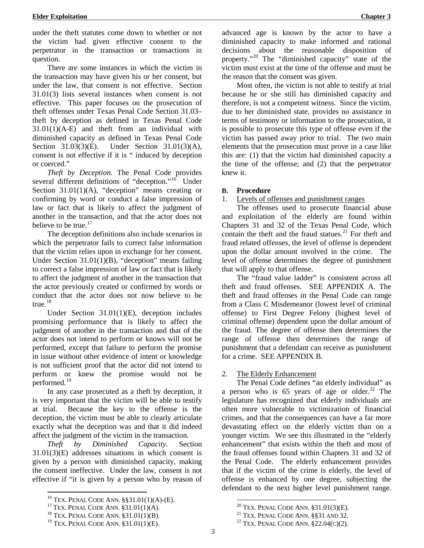under the theft statutes come down to whether or not the victim had given effective consent to the perpetrator in the transaction or transactions in question.

There are some instances in which the victim in the transaction may have given his or her consent, but under the law, that consent is not effective. Section 31.01(3) lists several instances when consent is not effective. This paper focuses on the prosecution of theft offenses under Texas Penal Code Section 31.03– theft by deception as defined in Texas Penal Code 31.01(1)(A-E) and theft from an individual with diminished capacity as defined in Texas Penal Code Section 31.03(3)(E). Under Section 31.01(3)(A), consent is not effective if it is " induced by deception or coerced."

*Theft by Deception.* The Penal Code provides several different definitions of "deception."<sup>[16](#page-12-0)</sup> Under Section 31.01(1)(A), "deception" means creating or confirming by word or conduct a false impression of law or fact that is likely to affect the judgment of another in the transaction, and that the actor does not believe to be true.<sup>[17](#page-12-1)</sup>

The deception definitions also include scenarios in which the perpetrator fails to correct false information that the victim relies upon in exchange for her consent. Under Section 31.01(1)(B), "deception" means failing to correct a false impression of law or fact that is likely to affect the judgment of another in the transaction that the actor previously created or confirmed by words or conduct that the actor does not now believe to be true.<sup>[18](#page-12-2)</sup>

Under Section 31.01(1)(E), deception includes promising performance that is likely to affect the judgment of another in the transaction and that of the actor does not intend to perform or knows will not be performed, except that failure to perform the promise in issue without other evidence of intent or knowledge is not sufficient proof that the actor did not intend to perform or knew the promise would not be performed.<sup>[19](#page-12-3)</sup>

In any case prosecuted as a theft by deception, it is very important that the victim will be able to testify at trial. Because the key to the offense is the deception, the victim must be able to clearly articulate exactly what the deception was and that it did indeed affect the judgment of the victim in the transaction.

*Theft by Diminished Capacity.* Section 31.01(3)(E) addresses situations in which consent is given by a person with diminished capacity, making the consent ineffective. Under the law, consent is not effective if "it is given by a person who by reason of

advanced age is known by the actor to have a diminished capacity to make informed and rational decisions about the reasonable disposition of property."[20](#page-12-1) The "diminished capacity" state of the victim must exist at the time of the offense and must be the reason that the consent was given.

Most often, the victim is not able to testify at trial because he or she still has diminished capacity and therefore, is not a competent witness. Since the victim, due to her diminished state, provides no assistance in terms of testimony or information to the prosecution, it is possible to prosecute this type of offense even if the victim has passed away prior to trial. The two main elements that the prosecution must prove in a case like this are: (1) that the victim had diminished capacity a the time of the offense; and (2) that the perpetrator knew it.

#### **B. Procedure**

#### 1. Levels of offenses and punishment ranges

The offenses used to prosecute financial abuse and exploitation of the elderly are found within Chapters 31 and 32 of the Texas Penal Code, which contain the theft and the fraud statues. $21$  For theft and fraud related offenses, the level of offense is dependent upon the dollar amount involved in the crime. The level of offense determines the degree of punishment that will apply to that offense.

The "fraud value ladder" is consistent across all theft and fraud offenses. SEE APPENDIX A. The theft and fraud offenses in the Penal Code can range from a Class C Misdemeanor (lowest level of criminal offense) to First Degree Felony (highest level of criminal offense) dependent upon the dollar amount of the fraud. The degree of offense then determines the range of offense then determines the range of punishment that a defendant can receive as punishment for a crime. SEE APPENDIX B.

#### 2. The Elderly Enhancement

The Penal Code defines "an elderly individual" as a person who is  $65$  years of age or older.<sup>[22](#page-12-3)</sup> The legislature has recognized that elderly individuals are often more vulnerable to victimization of financial crimes, and that the consequences can have a far more devastating effect on the elderly victim than on a younger victim. We see this illustrated in the "elderly enhancement" that exists within the theft and most of the fraud offenses found within Chapters 31 and 32 of the Penal Code. The elderly enhancement provides that if the victim of the crime is elderly, the level of offense is enhanced by one degree, subjecting the defendant to the next higher level punishment range.

<span id="page-12-1"></span><span id="page-12-0"></span><sup>&</sup>lt;sup>16</sup> TEX. PENAL CODE ANN. §§31.01(1)(A)-(E).<br><sup>17</sup> TEX. PENAL CODE ANN. §31.01(1)(A).<br><sup>18</sup> TEX. PENAL CODE ANN. §31.01(1)(B).<br><sup>19</sup> TEX. PENAL CODE ANN. §31.01(1)(E).

<span id="page-12-3"></span><span id="page-12-2"></span>

<sup>&</sup>lt;sup>20</sup> TEX. PENAL CODE ANN. §31.01(3)(E).<br><sup>21</sup> TEX. PENAL CODE ANN. §§31 AND 32.<br><sup>22</sup> TEX. PENAL CODE ANN. §22.04(C)(2).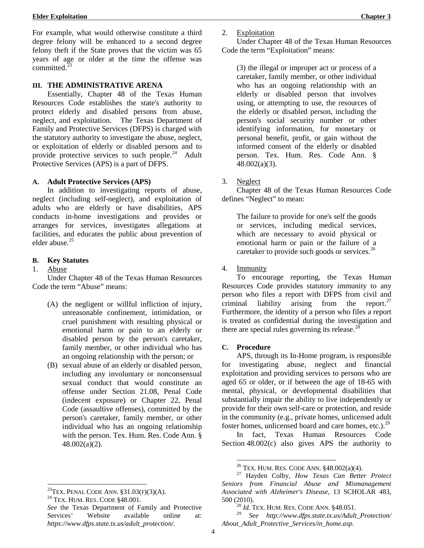**Elder Exploitation Chapter 3**

For example, what would otherwise constitute a third degree felony will be enhanced to a second degree felony theft if the State proves that the victim was 65 years of age or older at the time the offense was committed. $^{23}$  $^{23}$  $^{23}$ 

### **III. THE ADMINISTRATIVE ARENA**

Essentially, Chapter 48 of the Texas Human Resources Code establishes the state's authority to protect elderly and disabled persons from abuse, neglect, and exploitation. The Texas Department of Family and Protective Services (DFPS) is charged with the statutory authority to investigate the abuse, neglect, or exploitation of elderly or disabled persons and to provide protective services to such people. $^{24}$  Adult Protective Services (APS) is a part of DFPS.

#### **A. Adult Protective Services (APS)**

In addition to investigating reports of abuse, neglect (including self-neglect), and exploitation of adults who are elderly or have disabilities, APS conducts in-home investigations and provides or arranges for services, investigates allegations at facilities, and educates the public about prevention of elder abuse*.* [25](#page-13-2)

### **B. Key Statutes**

1. Abuse

Under Chapter 48 of the Texas Human Resources Code the term "Abuse" means:

- (A) the negligent or willful infliction of injury, unreasonable confinement, intimidation, or cruel punishment with resulting physical or emotional harm or pain to an elderly or disabled person by the person's caretaker, family member, or other individual who has an ongoing relationship with the person; or
- (B) sexual abuse of an elderly or disabled person, including any involuntary or nonconsensual sexual conduct that would constitute an offense under Section 21.08, Penal Code (indecent exposure) or Chapter 22, Penal Code (assaultive offenses), committed by the person's caretaker, family member, or other individual who has an ongoing relationship with the person. Tex. Hum. Res. Code Ann. § 48.002(a)(2).

Under Chapter 48 of the Texas Human Resources Code the term "Exploitation" means:

(3) the illegal or improper act or process of a caretaker, family member, or other individual who has an ongoing relationship with an elderly or disabled person that involves using, or attempting to use, the resources of the elderly or disabled person, including the person's social security number or other identifying information, for monetary or personal benefit, profit, or gain without the informed consent of the elderly or disabled person. Tex. Hum. Res. Code Ann. § 48.002(a)(3).

3. Neglect

Chapter 48 of the Texas Human Resources Code defines "Neglect" to mean:

The failure to provide for one's self the goods or services, including medical services, which are necessary to avoid physical or emotional harm or pain or the failure of a caretaker to provide such goods or services.<sup>[26](#page-13-3)</sup>

4. Immunity

To encourage reporting, the Texas Human Resources Code provides statutory immunity to any person who files a report with DFPS from civil and criminal liability arising from the report.<sup>[27](#page-13-4)</sup> Furthermore, the identity of a person who files a report is treated as confidential during the investigation and there are special rules governing its release. $^{28}$  $^{28}$  $^{28}$ 

#### **C. Procedure**

APS, through its In-Home program, is responsible for investigating abuse, neglect and financial exploitation and providing services to persons who are aged 65 or older, or if between the age of 18-65 with mental, physical, or developmental disabilities that substantially impair the ability to live independently or provide for their own self-care or protection, and reside in the community (e.g., private homes, unlicensed adult foster homes, unlicensed board and care homes, etc.). $^{29}$  $^{29}$  $^{29}$ 

In fact, Texas Human Resources Code Section 48.002(c) also gives APS the authority to

<span id="page-13-4"></span><span id="page-13-3"></span><span id="page-13-0"></span><sup>&</sup>lt;sup>23</sup>TEX. PENAL CODE ANN.  $\S 31.03(F)(3)(A)$ .<br><sup>24</sup> TEX. HUM. RES. CODE  $\S 48.001$ .

<span id="page-13-1"></span>

<span id="page-13-5"></span><span id="page-13-2"></span>*See* the Texas Department of Family and Protective Services' Website available online at: *https://www.dfps.state.tx.us/adult\_protection/.*

<sup>26</sup> TEX. HUM. RES. CODE ANN. §48.002(a)(4). <sup>27</sup> Hayden Colby, *How Texas Can Better Protect Seniors from Financial Abuse and Mismanagement Associated with Alzheimer's Disease*, 13 SCHOLAR 483,

<sup>&</sup>lt;sup>28</sup> *Id.* TEX. HUM. RES. CODE ANN.  $\S$ 48.051.

<sup>29</sup> *See http://www.dfps.state.tx.us/Adult\_Protection/ About\_Adult\_Protective\_Services/in\_home.asp.*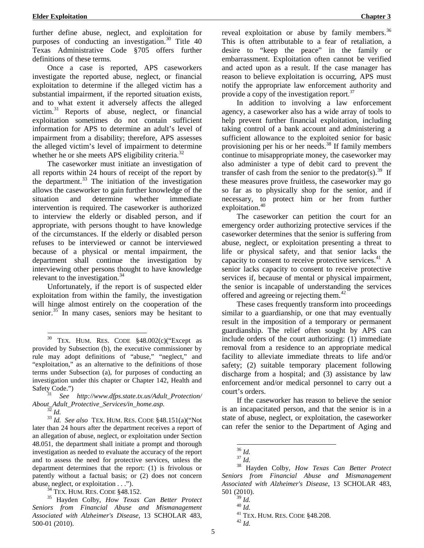further define abuse, neglect, and exploitation for purposes of conducting an investigation.<sup>[30](#page-14-0)</sup> Title 40 Texas Administrative Code §705 offers further definitions of these terms*.*

Once a case is reported, APS caseworkers investigate the reported abuse, neglect, or financial exploitation to determine if the alleged victim has a substantial impairment, if the reported situation exists, and to what extent it adversely affects the alleged victim.[31](#page-14-1) Reports of abuse, neglect, or financial exploitation sometimes do not contain sufficient information for APS to determine an adult's level of impairment from a disability; therefore, APS assesses the alleged victim's level of impairment to determine whether he or she meets APS eligibility criteria.<sup>[32](#page-14-2)</sup>

The caseworker must initiate an investigation of all reports within 24 hours of receipt of the report by the department. $33$  The initiation of the investigation allows the caseworker to gain further knowledge of the situation and determine whether immediate intervention is required. The caseworker is authorized to interview the elderly or disabled person, and if appropriate, with persons thought to have knowledge of the circumstances. If the elderly or disabled person refuses to be interviewed or cannot be interviewed because of a physical or mental impairment, the department shall continue the investigation by interviewing other persons thought to have knowledge relevant to the investigation.<sup>[34](#page-14-4)</sup>

Unfortunately, if the report is of suspected elder exploitation from within the family, the investigation will hinge almost entirely on the cooperation of the senior. $^{35}$  $^{35}$  $^{35}$  In many cases, seniors may be hesitant to

<span id="page-14-3"></span><span id="page-14-2"></span><sup>32</sup> *Id.* 32 *Id.* 33 *Id. See also* TEX. HUM. RES. CODE §48.151(a)("Not later than 24 hours after the department receives a report of an allegation of abuse, neglect, or exploitation under Section 48.051, the department shall initiate a prompt and thorough investigation as needed to evaluate the accuracy of the report and to assess the need for protective services, unless the department determines that the report: (1) is frivolous or patently without a factual basis; or (2) does not concern

<span id="page-14-11"></span><span id="page-14-10"></span><span id="page-14-9"></span><span id="page-14-8"></span><span id="page-14-7"></span><span id="page-14-6"></span><span id="page-14-5"></span><span id="page-14-4"></span>abuse, neglect, or exploitation . . .").<br><sup>34</sup> TEX. HUM. RES. CODE §48.152.<br><sup>35</sup> Hayden Colby, *How Texas Can Better Protect Seniors from Financial Abuse and Mismanagement Associated with Alzheimer's Disease*, 13 SCHOLAR 483, 500-01 (2010).

reveal exploitation or abuse by family members.<sup>[36](#page-14-6)</sup> This is often attributable to a fear of retaliation, a desire to "keep the peace" in the family or embarrassment. Exploitation often cannot be verified and acted upon as a result. If the case manager has reason to believe exploitation is occurring, APS must notify the appropriate law enforcement authority and provide a copy of the investigation report.<sup>[37](#page-14-7)</sup>

In addition to involving a law enforcement agency, a caseworker also has a wide array of tools to help prevent further financial exploitation, including taking control of a bank account and administering a sufficient allowance to the exploited senior for basic provisioning per his or her needs. [38](#page-14-8) If family members continue to misappropriate money, the caseworker may also administer a type of debit card to prevent the transfer of cash from the senior to the predator(s).<sup>[39](#page-14-5)</sup> If these measures prove fruitless, the caseworker may go so far as to physically shop for the senior, and if necessary, to protect him or her from further exploitation. $40$ 

The caseworker can petition the court for an emergency order authorizing protective services if the caseworker determines that the senior is suffering from abuse, neglect, or exploitation presenting a threat to life or physical safety, and that senior lacks the capacity to consent to receive protective services.<sup>[41](#page-14-10)</sup> A senior lacks capacity to consent to receive protective services if, because of mental or physical impairment, the senior is incapable of understanding the services offered and agreeing or rejecting them.<sup>[42](#page-14-11)</sup>

These cases frequently transform into proceedings similar to a guardianship, or one that may eventually result in the imposition of a temporary or permanent guardianship. The relief often sought by APS can include orders of the court authorizing: (1) immediate removal from a residence to an appropriate medical facility to alleviate immediate threats to life and/or safety; (2) suitable temporary placement following discharge from a hospital; and (3) assistance by law enforcement and/or medical personnel to carry out a court's orders.

If the caseworker has reason to believe the senior is an incapacitated person, and that the senior is in a state of abuse, neglect, or exploitation, the caseworker can refer the senior to the Department of Aging and

5

<span id="page-14-0"></span> $30$  TEX. HUM. RES. CODE  $$48.002(c)$  ("Except as provided by Subsection (b), the executive commissioner by rule may adopt definitions of "abuse," "neglect," and "exploitation," as an alternative to the definitions of those terms under Subsection (a), for purposes of conducting an investigation under this chapter or Chapter 142, Health and

<span id="page-14-1"></span>Safety Code.")<br><sup>31</sup> *See http://www.dfps.state.tx.us/Adult\_Protection/*<br>*About Adult Protective Services/in home.asp.* 

<sup>36</sup> *Id.* <sup>37</sup> *Id.* <sup>38</sup> Hayden Colby, *How Texas Can Better Protect Seniors from Financial Abuse and Mismanagement Associated with Alzheimer's Disease*, 13 SCHOLAR 483, 501 (2010).<br> $\frac{39}{1}$  *Id.* 

<sup>39</sup> *Id.* <sup>40</sup> *Id.* <sup>41</sup> TEX. HUM. RES. CODE §48.208. <sup>42</sup> *Id.*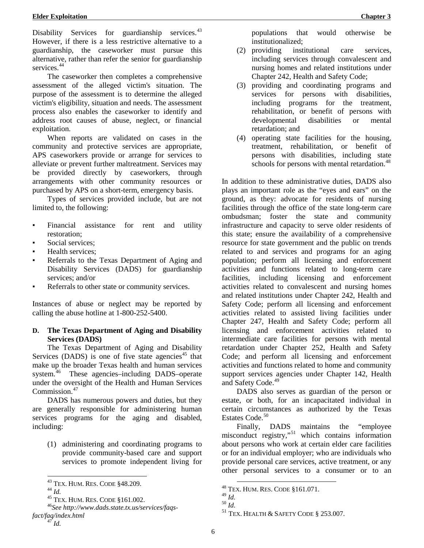Disability Services for guardianship services.<sup>43</sup> However, if there is a less restrictive alternative to a guardianship, the caseworker must pursue this alternative, rather than refer the senior for guardianship services.<sup>[44](#page-15-1)</sup>

The caseworker then completes a comprehensive assessment of the alleged victim's situation. The purpose of the assessment is to determine the alleged victim's eligibility, situation and needs. The assessment process also enables the caseworker to identify and address root causes of abuse, neglect, or financial exploitation.

When reports are validated on cases in the community and protective services are appropriate, APS caseworkers provide or arrange for services to alleviate or prevent further maltreatment. Services may be provided directly by caseworkers, through arrangements with other community resources or purchased by APS on a short-term, emergency basis.

Types of services provided include, but are not limited to, the following:

- Financial assistance for rent and utility restoration;
- Social services;
- Health services;
- Referrals to the Texas Department of Aging and Disability Services (DADS) for guardianship services; and/or
- Referrals to other state or community services.

Instances of abuse or neglect may be reported by calling the abuse hotline at 1-800-252-5400.

#### **D. The Texas Department of Aging and Disability Services (DADS)**

The Texas Department of Aging and Disability Services (DADS) is one of five state agencies<sup>[45](#page-15-2)</sup> that make up the broader Texas health and human services system.<sup>46</sup> These agencies–including DADS–operate under the oversight of the Health and Human Services Commission.<sup>[47](#page-15-4)</sup>

DADS has numerous powers and duties, but they are generally responsible for administering human services programs for the aging and disabled, including:

(1) administering and coordinating programs to provide community-based care and support services to promote independent living for

<span id="page-15-8"></span><span id="page-15-7"></span><span id="page-15-6"></span><span id="page-15-5"></span><span id="page-15-4"></span><span id="page-15-3"></span><span id="page-15-2"></span><span id="page-15-1"></span><span id="page-15-0"></span><sup>43</sup> TEX. HUM. RES. CODE §48.209.<br><sup>44</sup> *Id.* 45 TEX. HUM. RES. CODE §161.002.<br><sup>46</sup>*See http://www.dads.state.tx.us/services/faqsfact/faq/index.html* <sup>47</sup> *Id.*

populations that would otherwise be institutionalized;

- (2) providing institutional care services, including services through convalescent and nursing homes and related institutions under Chapter 242, Health and Safety Code;
- (3) providing and coordinating programs and services for persons with disabilities, including programs for the treatment, rehabilitation, or benefit of persons with developmental disabilities or mental retardation; and
- (4) operating state facilities for the housing, treatment, rehabilitation, or benefit of persons with disabilities, including state schools for persons with mental retardation.<sup>[48](#page-15-5)</sup>

In addition to these administrative duties, DADS also plays an important role as the "eyes and ears" on the ground, as they: advocate for residents of nursing facilities through the office of the state long-term care ombudsman; foster the state and community infrastructure and capacity to serve older residents of this state; ensure the availability of a comprehensive resource for state government and the public on trends related to and services and programs for an aging population; perform all licensing and enforcement activities and functions related to long-term care facilities, including licensing and enforcement activities related to convalescent and nursing homes and related institutions under Chapter 242, Health and Safety Code; perform all licensing and enforcement activities related to assisted living facilities under Chapter 247, Health and Safety Code; perform all licensing and enforcement activities related to intermediate care facilities for persons with mental retardation under Chapter 252, Health and Safety Code; and perform all licensing and enforcement activities and functions related to home and community support services agencies under Chapter 142, Health and Safety Code.<sup>[49](#page-15-6)</sup>

DADS also serves as guardian of the person or estate, or both, for an incapacitated individual in certain circumstances as authorized by the Texas Estates Code. [50](#page-15-7)

Finally, DADS maintains the "employee misconduct registry,<sup>[51](#page-15-8)</sup> which contains information about persons who work at certain elder care facilities or for an individual employer; who are individuals who provide personal care services, active treatment, or any other personal services to a consumer or to an

<sup>&</sup>lt;sup>48</sup> TEX. HUM. RES. CODE §161.071.<br><sup>49</sup> Id.

 $^{50}\,$   $ld.$ 

 $^{51}$  TEX. HEALTH & SAFETY CODE  $\S$  253.007.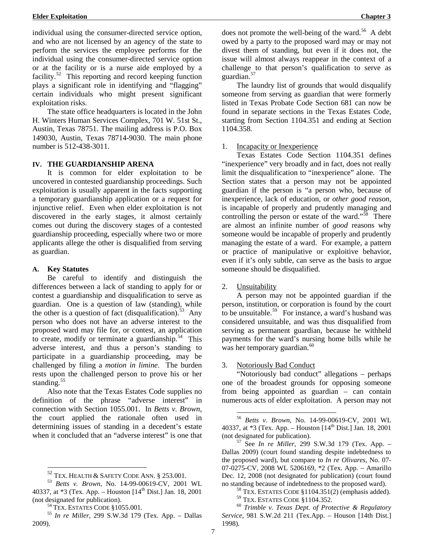individual using the consumer-directed service option, and who are not licensed by an agency of the state to perform the services the employee performs for the individual using the consumer-directed service option or at the facility or is a nurse aide employed by a facility. $52$  This reporting and record keeping function plays a significant role in identifying and "flagging" certain individuals who might present significant exploitation risks.

The state office headquarters is located in the John H. Winters Human Services Complex, 701 W. 51st St., Austin, Texas 78751. The mailing address is P.O. Box 149030, Austin, Texas 78714-9030. The main phone number is 512-438-3011.

#### **IV. THE GUARDIANSHIP ARENA**

It is common for elder exploitation to be uncovered in contested guardianship proceedings. Such exploitation is usually apparent in the facts supporting a temporary guardianship application or a request for injunctive relief. Even when elder exploitation is not discovered in the early stages, it almost certainly comes out during the discovery stages of a contested guardianship proceeding, especially where two or more applicants allege the other is disqualified from serving as guardian.

#### **A. Key Statutes**

Be careful to identify and distinguish the differences between a lack of standing to apply for or contest a guardianship and disqualification to serve as guardian. One is a question of law (standing), while the other is a question of fact (disqualification). [53](#page-16-1) Any person who does not have an adverse interest to the proposed ward may file for, or contest, an application to create, modify or terminate a guardianship.<sup>54</sup> This adverse interest, and thus a person's standing to participate in a guardianship proceeding, may be challenged by filing a *motion in limine*. The burden rests upon the challenged person to prove his or her standing. $55$ 

<span id="page-16-4"></span>Also note that the Texas Estates Code supplies no definition of the phrase "adverse interest" in connection with Section 1055.001. In *Betts v. Brown*, the court applied the rationale often used in determining issues of standing in a decedent's estate when it concluded that an "adverse interest" is one that does not promote the well-being of the ward.<sup>56</sup> A debt owed by a party to the proposed ward may or may not divest them of standing, but even if it does not, the issue will almost always reappear in the context of a challenge to that person's qualification to serve as guardian.<sup>[57](#page-16-5)</sup>

The laundry list of grounds that would disqualify someone from serving as guardian that were formerly listed in Texas Probate Code Section 681 can now be found in separate sections in the Texas Estates Code, starting from Section 1104.351 and ending at Section 1104.358.

#### 1. Incapacity or Inexperience

Texas Estates Code Section 1104.351 defines "inexperience" very broadly and in fact, does not really limit the disqualification to "inexperience" alone. The Section states that a person may not be appointed guardian if the person is "a person who, because of inexperience, lack of education, or *other good reason*, is incapable of properly and prudently managing and controlling the person or estate of the ward."<sup>[58](#page-16-6)</sup> There are almost an infinite number of *good* reasons why someone would be incapable of properly and prudently managing the estate of a ward. For example, a pattern or practice of manipulative or exploitive behavior, even if it's only subtle, can serve as the basis to argue someone should be disqualified.

#### 2. Unsuitability

A person may not be appointed guardian if the person, institution, or corporation is found by the court to be unsuitable.<sup>[59](#page-16-7)</sup> For instance, a ward's husband was considered unsuitable, and was thus disqualified from serving as permanent guardian, because he withheld payments for the ward's nursing home bills while he was her temporary guardian.<sup>[60](#page-16-2)</sup>

#### 3. Notoriously Bad Conduct

"Notoriously bad conduct" allegations – perhaps one of the broadest grounds for opposing someone from being appointed as guardian – can contain numerous acts of elder exploitation. A person may not

*Service*, 981 S.W.2d 211 (Tex.App. – Houson [14th Dist.] 1998).

<span id="page-16-5"></span><span id="page-16-1"></span><span id="page-16-0"></span><sup>52</sup> TEX. HEALTH & SAFETY CODE ANN. § 253.001. <sup>53</sup> *Betts v. Brown*, No. 14-99-00619-CV, 2001 WL 40337, at  $*3$  (Tex. App. – Houston [14<sup>th</sup> Dist.] Jan. 18, 2001 (not designated for publication).

<span id="page-16-7"></span><span id="page-16-6"></span><span id="page-16-3"></span><span id="page-16-2"></span><sup>&</sup>lt;sup>54</sup> TEX. ESTATES CODE §1055.001.<br><sup>55</sup> *In re Miller*, 299 S.W.3d 179 (Tex. App. – Dallas 2009).

 <sup>56</sup> *Betts v. Brown*, No. 14-99-00619-CV, 2001 WL 40337, at  $*3$  (Tex. App. – Houston  $[14<sup>th</sup> Dist.]$  Jan. 18, 2001 (not designated for publication).

<sup>&</sup>lt;sup>57</sup> See *In re Miller*, 299 S.W.3d 179 (Tex. App. – Dallas 2009) (court found standing despite indebtedness to the proposed ward), but compare to *In re Olivares*, No. 07- 07-0275-CV, 2008 WL 5206169, \*2 (Tex. App. – Amarillo Dec. 12, 2008 (not designated for publication) (court found no standing because of indebtedness to the proposed ward).<br><sup>58</sup> TEX. ESTATES CODE §1104.351(2) (emphasis added).<br><sup>59</sup> TEX. ESTATES CODE §1104.352.<br><sup>60</sup> *Trimble v. Texas Dept. of Protective & Regulatory*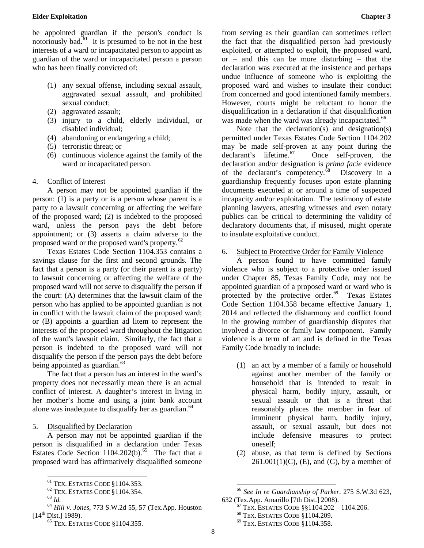be appointed guardian if the person's conduct is notoriously bad.<sup>61</sup> It is presumed to be not in the best interests of a ward or incapacitated person to appoint as guardian of the ward or incapacitated person a person who has been finally convicted of:

- (1) any sexual offense, including sexual assault, aggravated sexual assault, and prohibited sexual conduct;
- (2) aggravated assault;
- (3) injury to a child, elderly individual, or disabled individual;
- (4) abandoning or endangering a child;
- (5) terroristic threat; or
- (6) continuous violence against the family of the ward or incapacitated person.

#### 4. Conflict of Interest

A person may not be appointed guardian if the person: (1) is a party or is a person whose parent is a party to a lawsuit concerning or affecting the welfare of the proposed ward; (2) is indebted to the proposed ward, unless the person pays the debt before appointment; or (3) asserts a claim adverse to the proposed ward or the proposed ward's property.<sup>[62](#page-17-1)</sup>

Texas Estates Code Section 1104.353 contains a savings clause for the first and second grounds. The fact that a person is a party (or their parent is a party) to lawsuit concerning or affecting the welfare of the proposed ward will not serve to disqualify the person if the court: (A) determines that the lawsuit claim of the person who has applied to be appointed guardian is not in conflict with the lawsuit claim of the proposed ward; or (B) appoints a guardian ad litem to represent the interests of the proposed ward throughout the litigation of the ward's lawsuit claim. Similarly, the fact that a person is indebted to the proposed ward will not disqualify the person if the person pays the debt before being appointed as guardian.<sup>[63](#page-17-2)</sup>

The fact that a person has an interest in the ward's property does not necessarily mean there is an actual conflict of interest. A daughter's interest in living in her mother's home and using a joint bank account alone was inadequate to disqualify her as guardian.<sup>[64](#page-17-3)</sup>

#### 5. Disqualified by Declaration

A person may not be appointed guardian if the person is disqualified in a declaration under Texas Estates Code Section  $1104.202(b)$ .<sup>65</sup> The fact that a proposed ward has affirmatively disqualified someone

from serving as their guardian can sometimes reflect the fact that the disqualified person had previously exploited, or attempted to exploit, the proposed ward, or – and this can be more disturbing – that the declaration was executed at the insistence and perhaps undue influence of someone who is exploiting the proposed ward and wishes to insulate their conduct from concerned and good intentioned family members. However, courts might be reluctant to honor the disqualification in a declaration if that disqualification was made when the ward was already incapacitated.<sup>[66](#page-17-1)</sup>

Note that the declaration(s) and designation(s) permitted under Texas Estates Code Section 1104.202 may be made self-proven at any point during the declarant's lifetime.<sup>67</sup> Once self-proven, the Once self-proven, the declaration and/or designation is *prima facie* evidence of the declarant's competency.<sup>68</sup> Discovery in a guardianship frequently focuses upon estate planning documents executed at or around a time of suspected incapacity and/or exploitation. The testimony of estate planning lawyers, attesting witnesses and even notary publics can be critical to determining the validity of declaratory documents that, if misused, might operate to insulate exploitative conduct.

6. Subject to Protective Order for Family Violence

A person found to have committed family violence who is subject to a protective order issued under Chapter 85, Texas Family Code, may not be appointed guardian of a proposed ward or ward who is protected by the protective order.<sup>69</sup> Texas Estates Code Section 1104.358 became effective January 1, 2014 and reflected the disharmony and conflict found in the growing number of guardianship disputes that involved a divorce or family law component. Family violence is a term of art and is defined in the Texas Family Code broadly to include:

- (1) an act by a member of a family or household against another member of the family or household that is intended to result in physical harm, bodily injury, assault, or sexual assault or that is a threat that reasonably places the member in fear of imminent physical harm, bodily injury, assault, or sexual assault, but does not include defensive measures to protect oneself;
- (2) abuse, as that term is defined by Sections  $261.001(1)(C)$ , (E), and (G), by a member of

<span id="page-17-5"></span><span id="page-17-3"></span><span id="page-17-2"></span><span id="page-17-1"></span><span id="page-17-0"></span><sup>61</sup> TEX. ESTATES CODE §1104.353. <sup>62</sup> TEX. ESTATES CODE §1104.354. <sup>63</sup> *Id.* <sup>64</sup> *Hill v. Jones*, 773 S.W.2d 55, 57 (Tex.App. Houston  $[14^{th}$  Dist.] 1989).

<span id="page-17-4"></span><sup>65</sup> TEX. ESTATES CODE §1104.355.

 <sup>66</sup> *See In re Guardianship of Parker*, 275 S.W.3d 623,

<sup>&</sup>lt;sup>67</sup> TEX. ESTATES CODE §§1104.202 – 1104.206.<br><sup>68</sup> TEX. ESTATES CODE §1104.209. <sup>69</sup> TEX. ESTATES CODE §1104.358.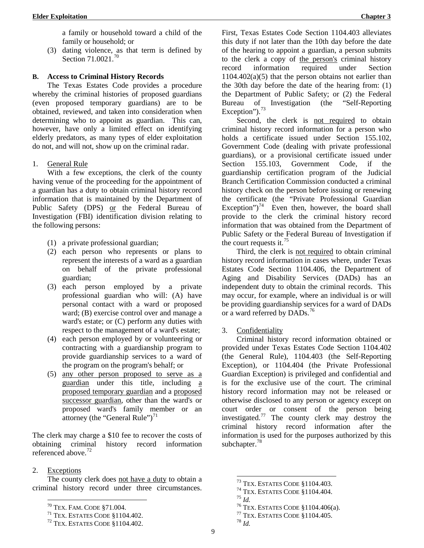a family or household toward a child of the family or household; or

(3) dating violence, as that term is defined by Section 71.0021.<sup>[70](#page-18-0)</sup>

### **B. Access to Criminal History Records**

The Texas Estates Code provides a procedure whereby the criminal histories of proposed guardians (even proposed temporary guardians) are to be obtained, reviewed, and taken into consideration when determining who to appoint as guardian. This can, however, have only a limited effect on identifying elderly predators, as many types of elder exploitation do not, and will not, show up on the criminal radar.

#### 1. General Rule

With a few exceptions, the clerk of the county having venue of the proceeding for the appointment of a guardian has a duty to obtain criminal history record information that is maintained by the Department of Public Safety (DPS) or the Federal Bureau of Investigation (FBI) identification division relating to the following persons:

- (1) a private professional guardian;
- (2) each person who represents or plans to represent the interests of a ward as a guardian on behalf of the private professional guardian;
- (3) each person employed by a private professional guardian who will: (A) have personal contact with a ward or proposed ward; (B) exercise control over and manage a ward's estate; or (C) perform any duties with respect to the management of a ward's estate;
- (4) each person employed by or volunteering or contracting with a guardianship program to provide guardianship services to a ward of the program on the program's behalf; or
- (5) any other person proposed to serve as a guardian under this title, including a proposed temporary guardian and a proposed successor guardian, other than the ward's or proposed ward's family member or an attorney (the "General Rule") $^{71}$  $^{71}$  $^{71}$

The clerk may charge a \$10 fee to recover the costs of obtaining criminal history record information referenced above.<sup>[72](#page-18-2)</sup>

### 2. Exceptions

<span id="page-18-5"></span><span id="page-18-4"></span><span id="page-18-3"></span><span id="page-18-0"></span>The county clerk does not have a duty to obtain a criminal history record under three circumstances.

First, Texas Estates Code Section 1104.403 alleviates this duty if not later than the 10th day before the date of the hearing to appoint a guardian, a person submits to the clerk a copy of the person's criminal history record information required under Section  $1104.402(a)(5)$  that the person obtains not earlier than the 30th day before the date of the hearing from: (1) the Department of Public Safety; or (2) the Federal Bureau of Investigation (the "Self-Reporting Exception").<sup>[73](#page-18-3)</sup>

Second, the clerk is not required to obtain criminal history record information for a person who holds a certificate issued under Section 155.102, Government Code (dealing with private professional guardians), or a provisional certificate issued under Section 155.103, Government Code, if the guardianship certification program of the Judicial Branch Certification Commission conducted a criminal history check on the person before issuing or renewing the certificate (the "Private Professional Guardian Exception")<sup>[74](#page-18-4)</sup> Even then, however, the board shall provide to the clerk the criminal history record information that was obtained from the Department of Public Safety or the Federal Bureau of Investigation if the court requests it.<sup>[75](#page-18-5)</sup>

Third, the clerk is not required to obtain criminal history record information in cases where, under Texas Estates Code Section 1104.406, the Department of Aging and Disability Services (DADs) has an independent duty to obtain the criminal records. This may occur, for example, where an individual is or will be providing guardianship services for a ward of DADs or a ward referred by DADs.<sup>[76](#page-18-0)</sup>

### 3. Confidentiality

Criminal history record information obtained or provided under Texas Estates Code Section 1104.402 (the General Rule), 1104.403 (the Self-Reporting Exception), or 1104.404 (the Private Professional Guardian Exception) is privileged and confidential and is for the exclusive use of the court. The criminal history record information may not be released or otherwise disclosed to any person or agency except on court order or consent of the person being investigated.<sup>[77](#page-18-1)</sup> The county clerk may destroy the criminal history record information after the information is used for the purposes authorized by this subchapter.<sup>[78](#page-18-2)</sup>

9

<span id="page-18-1"></span><sup>&</sup>lt;sup>70</sup> TEX. FAM. CODE §71.004.<br><sup>71</sup> TEX. ESTATES CODE §1104.402.<br><sup>72</sup> TEX. ESTATES CODE §1104.402.

<span id="page-18-2"></span>

<sup>&</sup>lt;sup>73</sup> TEX. ESTATES CODE §1104.403.<br><sup>74</sup> TEX. ESTATES CODE §1104.404.<br><sup>75</sup> *Id.* <sup>76</sup> TEX. ESTATES CODE §1104.406(a).<br><sup>77</sup> TEX. ESTATES CODE §1104.405.<br><sup>78</sup> *Id*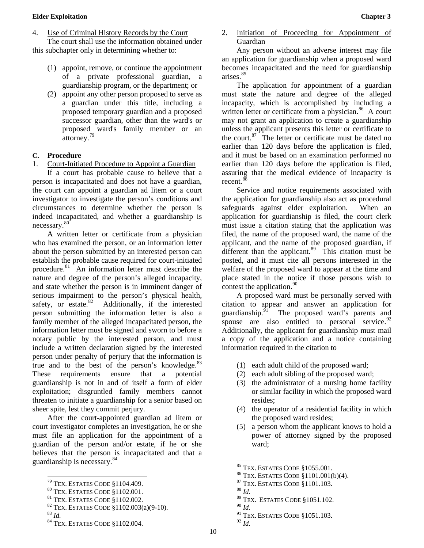- (1) appoint, remove, or continue the appointment of a private professional guardian, a guardianship program, or the department; or
- (2) appoint any other person proposed to serve as a guardian under this title, including a proposed temporary guardian and a proposed successor guardian, other than the ward's or proposed ward's family member or an attorney.<sup>[79](#page-19-0)</sup>

### **C. Procedure**

1. Court-Initiated Procedure to Appoint a Guardian

If a court has probable cause to believe that a person is incapacitated and does not have a guardian, the court can appoint a guardian ad litem or a court investigator to investigate the person's conditions and circumstances to determine whether the person is indeed incapacitated, and whether a guardianship is necessary.[80](#page-19-1) 

A written letter or certificate from a physician who has examined the person, or an information letter about the person submitted by an interested person can establish the probable cause required for court-initiated procedure.<sup>[81](#page-19-2)</sup> An information letter must describe the nature and degree of the person's alleged incapacity, and state whether the person is in imminent danger of serious impairment to the person's physical health, safety, or estate. $82$  Additionally, if the interested Additionally, if the interested person submitting the information letter is also a family member of the alleged incapacitated person, the information letter must be signed and sworn to before a notary public by the interested person, and must include a written declaration signed by the interested person under penalty of perjury that the information is true and to the best of the person's knowledge. $83$ These requirements ensure that a potential guardianship is not in and of itself a form of elder exploitation; disgruntled family members cannot threaten to initiate a guardianship for a senior based on sheer spite, lest they commit perjury.

After the court-appointed guardian ad litem or court investigator completes an investigation, he or she must file an application for the appointment of a guardian of the person and/or estate, if he or she believes that the person is incapacitated and that a guardianship is necessary.[84](#page-19-5)

<span id="page-19-5"></span><span id="page-19-4"></span><span id="page-19-3"></span>

2. Initiation of Proceeding for Appointment of Guardian

Any person without an adverse interest may file an application for guardianship when a proposed ward becomes incapacitated and the need for guardianship arises.<sup>85</sup>

The application for appointment of a guardian must state the nature and degree of the alleged incapacity, which is accomplished by including a written letter or certificate from a physician.<sup>[86](#page-19-7)</sup> A court may not grant an application to create a guardianship unless the applicant presents this letter or certificate to the court. $87$  The letter or certificate must be dated no earlier than 120 days before the application is filed, and it must be based on an examination performed no earlier than 120 days before the application is filed, assuring that the medical evidence of incapacity is recent.<sup>[88](#page-19-1)</sup>

Service and notice requirements associated with the application for guardianship also act as procedural safeguards against elder exploitation. When an application for guardianship is filed, the court clerk must issue a citation stating that the application was filed, the name of the proposed ward, the name of the applicant, and the name of the proposed guardian, if different than the applicant.<sup>[89](#page-19-2)</sup> This citation must be posted, and it must cite all persons interested in the welfare of the proposed ward to appear at the time and place stated in the notice if those persons wish to contest the application.<sup>[90](#page-19-3)</sup>

A proposed ward must be personally served with citation to appear and answer an application for guardianship.<sup>91</sup> The proposed ward's parents and The proposed ward's parents and spouse are also entitled to personal service.  $92$ Additionally, the applicant for guardianship must mail a copy of the application and a notice containing information required in the citation to

- (1) each adult child of the proposed ward;
- (2) each adult sibling of the proposed ward;
- (3) the administrator of a nursing home facility or similar facility in which the proposed ward resides;
- (4) the operator of a residential facility in which the proposed ward resides;
- (5) a person whom the applicant knows to hold a power of attorney signed by the proposed ward;

- -
- <sup>89</sup> TEX. ESTATES CODE §1051.102.

10

<span id="page-19-2"></span>

<span id="page-19-7"></span><span id="page-19-6"></span><span id="page-19-1"></span><span id="page-19-0"></span><sup>&</sup>lt;sup>79</sup> TEX. ESTATES CODE §1104.409.<br><sup>80</sup> TEX. ESTATES CODE §1102.001.<br><sup>81</sup> TEX. ESTATES CODE §1102.002.<br><sup>82</sup> TEX. ESTATES CODE §1102.003(a)(9-10).<br><sup>83</sup> *Id.* 84 TEX. ESTATES CODE §1102.004.

<sup>&</sup>lt;sup>85</sup> TEX. ESTATES CODE §1055.001.<br><sup>86</sup> TEX. ESTATES CODE §1101.001(b)(4).<br><sup>87</sup> TEX. ESTATES CODE §1101.103.<br><sup>88</sup> *Id.* 

<sup>90</sup> *Id.*

<sup>91</sup> TEX. ESTATES CODE §1051.103. <sup>92</sup> *Id.*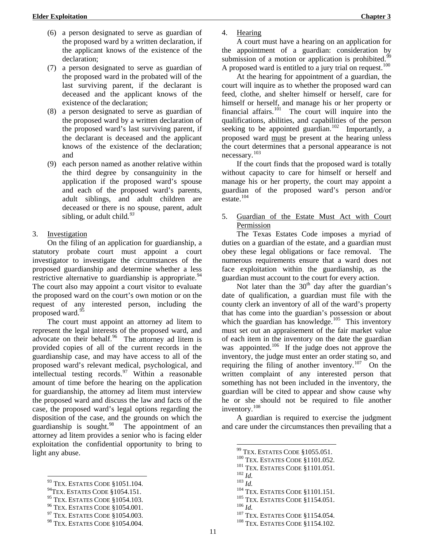- (6) a person designated to serve as guardian of the proposed ward by a written declaration, if the applicant knows of the existence of the declaration;
- (7) a person designated to serve as guardian of the proposed ward in the probated will of the last surviving parent, if the declarant is deceased and the applicant knows of the existence of the declaration;
- (8) a person designated to serve as guardian of the proposed ward by a written declaration of the proposed ward's last surviving parent, if the declarant is deceased and the applicant knows of the existence of the declaration; and
- (9) each person named as another relative within the third degree by consanguinity in the application if the proposed ward's spouse and each of the proposed ward's parents, adult siblings, and adult children are deceased or there is no spouse, parent, adult sibling, or adult child*. [93](#page-20-0)*

#### 3. Investigation

On the filing of an application for guardianship, a statutory probate court must appoint a court investigator to investigate the circumstances of the proposed guardianship and determine whether a less restrictive alternative to guardianship is appropriate.  $94$ The court also may appoint a court visitor to evaluate the proposed ward on the court's own motion or on the request of any interested person, including the proposed ward.<sup>[95](#page-20-2)</sup>

The court must appoint an attorney ad litem to represent the legal interests of the proposed ward, and advocate on their behalf. [96](#page-20-3) The attorney ad litem is provided copies of all of the current records in the guardianship case, and may have access to all of the proposed ward's relevant medical, psychological, and intellectual testing records.[97](#page-20-4) Within a reasonable amount of time before the hearing on the application for guardianship, the attorney ad litem must interview the proposed ward and discuss the law and facts of the case, the proposed ward's legal options regarding the disposition of the case, and the grounds on which the guardianship is sought. $98$  The appointment of an attorney ad litem provides a senior who is facing elder exploitation the confidential opportunity to bring to light any abuse.

4. Hearing

A court must have a hearing on an application for the appointment of a guardian: consideration by submission of a motion or application is prohibited.<sup>9</sup> A proposed ward is entitled to a jury trial on request.<sup>[100](#page-20-7)</sup>

At the hearing for appointment of a guardian, the court will inquire as to whether the proposed ward can feed, clothe, and shelter himself or herself, care for himself or herself, and manage his or her property or financial affairs. $101$  The court will inquire into the qualifications, abilities, and capabilities of the person seeking to be appointed guardian.<sup>102</sup> Importantly, a proposed ward must be present at the hearing unless the court determines that a personal appearance is not necessary.[103](#page-20-0)

If the court finds that the proposed ward is totally without capacity to care for himself or herself and manage his or her property, the court may appoint a guardian of the proposed ward's person and/or  $\text{estate}.^{104}$  $\text{estate}.^{104}$  $\text{estate}.^{104}$ 

#### 5. Guardian of the Estate Must Act with Court Permission

The Texas Estates Code imposes a myriad of duties on a guardian of the estate, and a guardian must obey these legal obligations or face removal. The numerous requirements ensure that a ward does not face exploitation within the guardianship, as the guardian must account to the court for every action.

Not later than the  $30<sup>th</sup>$  day after the guardian's date of qualification, a guardian must file with the county clerk an inventory of all of the ward's property that has come into the guardian's possession or about which the guardian has knowledge.<sup>105</sup> This inventory must set out an appraisement of the fair market value of each item in the inventory on the date the guardian was appointed.<sup>[106](#page-20-3)</sup> If the judge does not approve the inventory, the judge must enter an order stating so, and requiring the filing of another inventory.<sup>[107](#page-20-4)</sup> On the written complaint of any interested person that something has not been included in the inventory, the guardian will be cited to appear and show cause why he or she should not be required to file another inventory.[108](#page-20-5)

A guardian is required to exercise the judgment and care under the circumstances then prevailing that a

<span id="page-20-9"></span><span id="page-20-8"></span><span id="page-20-7"></span><span id="page-20-6"></span><span id="page-20-0"></span> $^{93}$  Tex. Estates Code §1051.104.<br><sup>94</sup>Tex. Estates Code §1054.151.

<span id="page-20-3"></span><span id="page-20-2"></span><span id="page-20-1"></span> $^{95}$ TEX. ESTATES CODE §1054.001. 97 TEX. ESTATES CODE §1054.003. 97 TEX. ESTATES CODE §1054.003.

<span id="page-20-5"></span><span id="page-20-4"></span><sup>98</sup> TEX. ESTATES CODE §1054.004.

<sup>&</sup>lt;sup>99</sup> TEX. ESTATES CODE §1055.051.<br><sup>100</sup> TEX. ESTATES CODE §1101.052.<br><sup>101</sup> TEX. ESTATES CODE §1101.051.<br><sup>102</sup> *Id.*<br><sup>103</sup> *Id.*<br><sup>104</sup> TEX. ESTATES CODE §1101.151.<br><sup>105</sup> TEX. ESTATES CODE §1154.054.<br><sup>107</sup> TEX. ESTATES CODE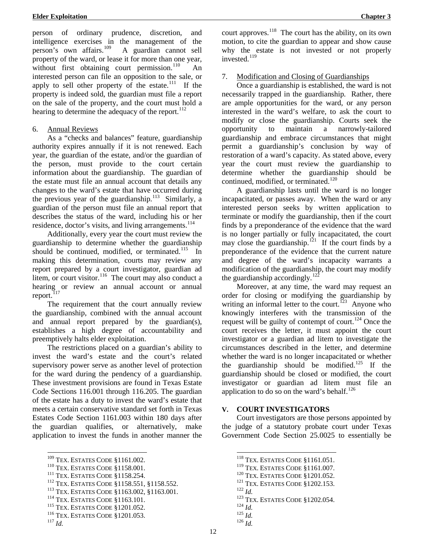person of ordinary prudence, discretion, and intelligence exercises in the management of the person's own affairs.<sup>109</sup> A guardian cannot sell property of the ward, or lease it for more than one year, without first obtaining court permission. $110$ interested person can file an opposition to the sale, or apply to sell other property of the estate.<sup>111</sup> If the property is indeed sold, the guardian must file a report on the sale of the property, and the court must hold a hearing to determine the adequacy of the report. $112$ 

#### 6. Annual Reviews

As a "checks and balances" feature, guardianship authority expires annually if it is not renewed. Each year, the guardian of the estate, and/or the guardian of the person, must provide to the court certain information about the guardianship. The guardian of the estate must file an annual account that details any changes to the ward's estate that have occurred during the previous year of the guardianship.<sup>113</sup> Similarly, a guardian of the person must file an annual report that describes the status of the ward, including his or her residence, doctor's visits, and living arrangements.<sup>[114](#page-21-5)</sup>

Additionally, every year the court must review the guardianship to determine whether the guardianship should be continued, modified, or terminated.<sup>115</sup> In making this determination, courts may review any report prepared by a court investigator, guardian ad litem, or court visitor.<sup>116</sup> The court may also conduct a hearing or review an annual account or annual report.<sup>117</sup>

The requirement that the court annually review the guardianship, combined with the annual account and annual report prepared by the guardian(s), establishes a high degree of accountability and preemptively halts elder exploitation.

The restrictions placed on a guardian's ability to invest the ward's estate and the court's related supervisory power serve as another level of protection for the ward during the pendency of a guardianship. These investment provisions are found in Texas Estate Code Sections 116.001 through 116.205. The guardian of the estate has a duty to invest the ward's estate that meets a certain conservative standard set forth in Texas Estates Code Section 1161.003 within 180 days after the guardian qualifies, or alternatively, make application to invest the funds in another manner the

court approves.<sup>[118](#page-21-0)</sup> The court has the ability, on its own motion, to cite the guardian to appear and show cause why the estate is not invested or not properly invested.<sup>[119](#page-21-1)</sup>

### 7. Modification and Closing of Guardianships

Once a guardianship is established, the ward is not necessarily trapped in the guardianship. Rather, there are ample opportunities for the ward, or any person interested in the ward's welfare, to ask the court to modify or close the guardianship. Courts seek the opportunity to maintain a narrowly-tailored guardianship and embrace circumstances that might permit a guardianship's conclusion by way of restoration of a ward's capacity. As stated above, every year the court must review the guardianship to determine whether the guardianship should be continued, modified, or terminated.<sup>[120](#page-21-2)</sup>

A guardianship lasts until the ward is no longer incapacitated, or passes away. When the ward or any interested person seeks by written application to terminate or modify the guardianship, then if the court finds by a preponderance of the evidence that the ward is no longer partially or fully incapacitated, the court may close the guardianship.<sup>[121](#page-21-3)</sup> If the court finds by a preponderance of the evidence that the current nature and degree of the ward's incapacity warrants a modification of the guardianship, the court may modify the guardianship accordingly.<sup>122</sup>

Moreover, at any time, the ward may request an order for closing or modifying the guardianship by writing an informal letter to the court.<sup>[123](#page-21-5)</sup> Anyone who knowingly interferes with the transmission of the request will be guilty of contempt of court.<sup>[124](#page-21-6)</sup> Once the court receives the letter, it must appoint the court investigator or a guardian ad litem to investigate the circumstances described in the letter, and determine whether the ward is no longer incapacitated or whether the guardianship should be modified.<sup>[125](#page-21-7)</sup> If the guardianship should be closed or modified, the court investigator or guardian ad litem must file an application to do so on the ward's behalf. $126$ 

### **V. COURT INVESTIGATORS**

Court investigators are those persons appointed by the judge of a statutory probate court under Texas Government Code Section 25.0025 to essentially be

- 
- 
- 120 TEX. ESTATES CODE §1201.052.<br>
121 TEX. ESTATES CODE §1202.153.<br>
122 *Id.*<br>
123 TEX. ESTATES CODE §1202.054.<br>
124 *Id.* 125 *Id.* 126 *Id*

12

<span id="page-21-2"></span>

<span id="page-21-1"></span><span id="page-21-0"></span><sup>&</sup>lt;sup>109</sup> Tex. ESTATES CODE §1161.002.<br>
<sup>110</sup> Tex. ESTATES CODE §1158.001.<br>
<sup>111</sup> Tex. ESTATES CODE §1158.254.<br>
<sup>112</sup> Tex. ESTATES CODE §1158.551, §1158.552.<br>
<sup>113</sup> Tex. ESTATES CODE §1163.002, §1163.001.<br>
<sup>114</sup> Tex. ESTATES

<span id="page-21-5"></span><span id="page-21-4"></span><span id="page-21-3"></span>

<span id="page-21-6"></span>

<span id="page-21-8"></span><span id="page-21-7"></span>

 $^{118}$  Tex. Estates Code  $\S 1161.051.$   $^{119}$  Tex. Estates Code  $\S 1161.007.$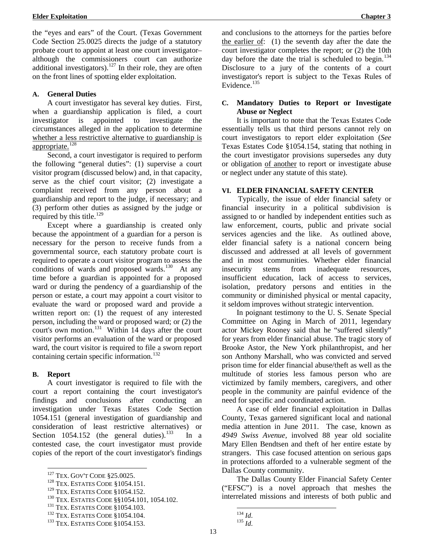<span id="page-22-7"></span>the "eyes and ears" of the Court. (Texas Government Code Section 25.0025 directs the judge of a statutory probate court to appoint at least one court investigator– although the commissioners court can authorize additional investigators).<sup>[127](#page-22-0)</sup> In their role, they are often on the front lines of spotting elder exploitation.

#### **A. General Duties**

A court investigator has several key duties. First, when a guardianship application is filed, a court investigator is appointed to investigate the circumstances alleged in the application to determine whether a less restrictive alternative to guardianship is appropriate.<sup>128</sup>

Second, a court investigator is required to perform the following "general duties": (1) supervise a court visitor program (discussed below) and, in that capacity, serve as the chief court visitor; (2) investigate a complaint received from any person about a guardianship and report to the judge, if necessary; and (3) perform other duties as assigned by the judge or required by this title. $^{129}$  $^{129}$  $^{129}$ 

Except where a guardianship is created only because the appointment of a guardian for a person is necessary for the person to receive funds from a governmental source, each statutory probate court is required to operate a court visitor program to assess the conditions of wards and proposed wards.<sup>[130](#page-22-3)</sup> At any time before a guardian is appointed for a proposed ward or during the pendency of a guardianship of the person or estate, a court may appoint a court visitor to evaluate the ward or proposed ward and provide a written report on: (1) the request of any interested person, including the ward or proposed ward; or (2) the court's own motion.<sup>[131](#page-22-4)</sup> Within  $14$  days after the court visitor performs an evaluation of the ward or proposed ward, the court visitor is required to file a sworn report containing certain specific information.<sup>[132](#page-22-5)</sup>

#### **B. Report**

A court investigator is required to file with the court a report containing the court investigator's findings and conclusions after conducting an investigation under Texas Estates Code Section 1054.151 (general investigation of guardianship and consideration of least restrictive alternatives) or Section 1054.152 (the general duties).<sup>[133](#page-22-6)</sup> In a contested case, the court investigator must provide copies of the report of the court investigator's findings and conclusions to the attorneys for the parties before the earlier of: (1) the seventh day after the date the court investigator completes the report; or (2) the 10th day before the date the trial is scheduled to begin.<sup>[134](#page-22-5)</sup> Disclosure to a jury of the contents of a court investigator's report is subject to the Texas Rules of Evidence. $135$ 

#### **C. Mandatory Duties to Report or Investigate Abuse or Neglect**

It is important to note that the Texas Estates Code essentially tells us that third persons cannot rely on court investigators to report elder exploitation (*See*  Texas Estates Code §1054.154, stating that nothing in the court investigator provisions supersedes any duty or obligation of another to report or investigate abuse or neglect under any statute of this state).

#### **VI. ELDER FINANCIAL SAFETY CENTER**

Typically, the issue of elder financial safety or financial insecurity in a political subdivision is assigned to or handled by independent entities such as [l](#page-22-7)aw enforcement, courts, public and private social services agencies and the like. As outlined above, elder financial safety is a national concern being discussed and addressed at all levels of government and in most communities. Whether elder financial insecurity stems from inadequate resources, insufficient education, lack of access to services, isolation, predatory persons and entities in the community or diminished physical or mental capacity, it seldom improves without strategic intervention.

In poignant testimony to the U. S. Senate Special Committee on Aging in March of 2011, legendary actor Mickey Rooney said that he "suffered silently" for years from elder financial abuse. The tragic story of Brooke Astor, the New York philanthropist, and her son Anthony Marshall, who was convicted and served prison time for elder financial abuse/theft as well as the multitude of stories less famous person who are victimized by family members, caregivers, and other people in the community are painful evidence of the need for specific and coordinated action.

A case of elder financial exploitation in Dallas County, Texas garnered significant local and national media attention in June 2011. The case, known as *4949 Swiss Avenue,* involved 88 year old socialite Mary Ellen Bendtsen and theft of her entire estate by strangers. This case focused attention on serious gaps in protections afforded to a vulnerable segment of the Dallas County community.

The Dallas County Elder Financial Safety Center ("EFSC") is a novel approach that meshes the interrelated missions and interests of both public and

<span id="page-22-1"></span><span id="page-22-0"></span><sup>&</sup>lt;sup>127</sup> TEX. GOV'T CODE §25.0025.<br><sup>128</sup> TEX. ESTATES CODE §1054.151.<br><sup>129</sup> TEX. ESTATES CODE §1054.152.

<span id="page-22-4"></span><span id="page-22-3"></span><span id="page-22-2"></span><sup>&</sup>lt;sup>130</sup> TEX. ESTATES CODE §§1054.101, 1054.102.<br><sup>131</sup> TEX. ESTATES CODE §1054.103.<br><sup>132</sup> TEX. ESTATES CODE §1054.104.<br><sup>133</sup> TEX. ESTATES CODE §1054.153.

<span id="page-22-6"></span><span id="page-22-5"></span>

 <sup>134</sup> *Id*. 135 *Id*.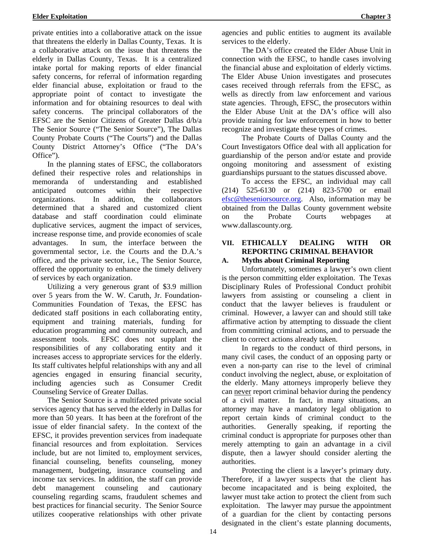private entities into a collaborative attack on the issue that threatens the elderly in Dallas County, Texas. It is a collaborative attack on the issue that threatens the elderly in Dallas County, Texas. It is a centralized intake portal for making reports of elder financial safety concerns, for referral of information regarding elder financial abuse, exploitation or fraud to the appropriate point of contact to investigate the information and for obtaining resources to deal with safety concerns. The principal collaborators of the EFSC are the Senior Citizens of Greater Dallas d/b/a The Senior Source ("The Senior Source"), The Dallas County Probate Courts ("The Courts") and the Dallas County District Attorney's Office ("The DA's Office").

In the planning states of EFSC, the collaborators defined their respective roles and relationships in memoranda of understanding and established anticipated outcomes within their respective organizations. In addition, the collaborators determined that a shared and customized client database and staff coordination could eliminate duplicative services, augment the impact of services, increase response time, and provide economies of scale advantages. In sum, the interface between the governmental sector, i.e. the Courts and the D.A.'s office, and the private sector, i.e., The Senior Source, offered the opportunity to enhance the timely delivery of services by each organization.

Utilizing a very generous grant of \$3.9 million over 5 years from the W. W. Caruth, Jr. Foundation-Communities Foundation of Texas, the EFSC has dedicated staff positions in each collaborating entity, equipment and training materials, funding for education programming and community outreach, and assessment tools. EFSC does not supplant the responsibilities of any collaborating entity and it increases access to appropriate services for the elderly. Its staff cultivates helpful relationships with any and all agencies engaged in ensuring financial security, including agencies such as Consumer Credit Counseling Service of Greater Dallas.

The Senior Source is a multifaceted private social services agency that has served the elderly in Dallas for more than 50 years. It has been at the forefront of the issue of elder financial safety. In the context of the EFSC, it provides prevention services from inadequate financial resources and from exploitation. Services include, but are not limited to, employment services, financial counseling, benefits counseling, money management, budgeting, insurance counseling and income tax services. In addition, the staff can provide debt management counseling and cautionary counseling regarding scams, fraudulent schemes and best practices for financial security. The Senior Source utilizes cooperative relationships with other private

agencies and public entities to augment its available services to the elderly.

The DA's office created the Elder Abuse Unit in connection with the EFSC, to handle cases involving the financial abuse and exploitation of elderly victims. The Elder Abuse Union investigates and prosecutes cases received through referrals from the EFSC, as wells as directly from law enforcement and various state agencies. Through, EFSC, the prosecutors within the Elder Abuse Unit at the DA's office will also provide training for law enforcement in how to better recognize and investigate these types of crimes.

The Probate Courts of Dallas County and the Court Investigators Office deal with all application for guardianship of the person and/or estate and provide ongoing monitoring and assessment of existing guardianships pursuant to the statues discussed above.

To access the EFSC, an individual may call (214) 525-6130 or (214) 823-5700 or email efsc@theseniorsource.org. Also, information may be obtained from the Dallas County government website on the Probate Courts webpages at www.dallascounty.org.

### **VII. ETHICALLY DEALING WITH OR REPORTING CRIMINAL BEHAVIOR**

# **A. Myths about Criminal Reporting**

Unfortunately, sometimes a lawyer's own client is the person committing elder exploitation. The Texas Disciplinary Rules of Professional Conduct prohibit lawyers from assisting or counseling a client in conduct that the lawyer believes is fraudulent or criminal. However, a lawyer can and should still take affirmative action by attempting to dissuade the client from committing criminal actions, and to persuade the client to correct actions already taken.

In regards to the conduct of third persons, in many civil cases, the conduct of an opposing party or even a non-party can rise to the level of criminal conduct involving the neglect, abuse, or exploitation of the elderly. Many attorneys improperly believe they can never report criminal behavior during the pendency of a civil matter. In fact, in many situations, an attorney may have a mandatory legal obligation to report certain kinds of criminal conduct to the authorities. Generally speaking, if reporting the criminal conduct is appropriate for purposes other than merely attempting to gain an advantage in a civil dispute, then a lawyer should consider alerting the authorities.

Protecting the client is a lawyer's primary duty. Therefore, if a lawyer suspects that the client has become incapacitated and is being exploited, the lawyer must take action to protect the client from such exploitation. The lawyer may pursue the appointment of a guardian for the client by contacting persons designated in the client's estate planning documents,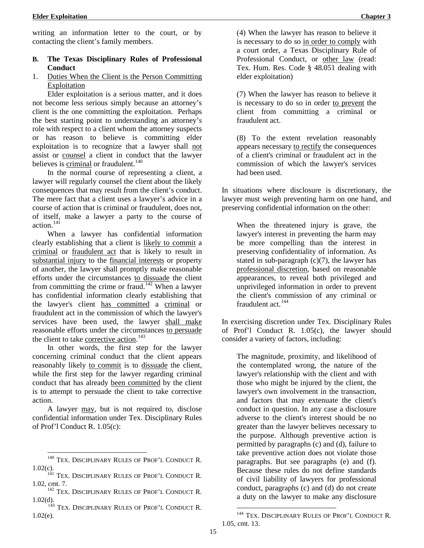writing an information letter to the court, or by contacting the client's family members.

### **B. The Texas Disciplinary Rules of Professional Conduct**

1. Duties When the Client is the Person Committing Exploitation

Elder exploitation is a serious matter, and it does not become less serious simply because an attorney's client is the one committing the exploitation. Perhaps the best starting point to understanding an attorney's role with respect to a client whom the attorney suspects or has reason to believe is committing elder exploitation is to recognize that a lawyer shall not assist or counsel a client in conduct that the lawyer believes is criminal or fraudulent. $140$ 

In the normal course of representing a client, a lawyer will regularly counsel the client about the likely consequences that may result from the client's conduct. The mere fact that a client uses a lawyer's advice in a course of action that is criminal or fraudulent, does not, of itself, make a lawyer a party to the course of action.<sup>[141](#page-24-1)</sup>

When a lawyer has confidential information clearly establishing that a client is likely to commit a criminal or fraudulent act that is likely to result in substantial injury to the financial interests or property of another, the lawyer shall promptly make reasonable efforts under the circumstances to dissuade the client from committing the crime or fraud.<sup>[142](#page-24-2)</sup> When a lawyer has confidential information clearly establishing that the lawyer's client has committed a criminal or fraudulent act in the commission of which the lawyer's services have been used, the lawyer shall make reasonable efforts under the circumstances to persuade the client to take corrective action.<sup>[143](#page-24-3)</sup>

In other words, the first step for the lawyer concerning criminal conduct that the client appears reasonably likely to commit is to dissuade the client, while the first step for the lawyer regarding criminal conduct that has already been committed by the client is to attempt to persuade the client to take corrective action.

A lawyer may, but is not required to, disclose confidential information under Tex. Disciplinary Rules of Prof'l Conduct R. 1.05(c):

(4) When the lawyer has reason to believe it is necessary to do so in order to comply with a court order, a Texas Disciplinary Rule of Professional Conduct, or other law (read: Tex. Hum. Res. Code § 48.051 dealing with elder exploitation)

(7) When the lawyer has reason to believe it is necessary to do so in order to prevent the client from committing a criminal or fraudulent act.

(8) To the extent revelation reasonably appears necessary to rectify the consequences of a client's criminal or fraudulent act in the commission of which the lawyer's services had been used.

In situations where disclosure is discretionary, the lawyer must weigh preventing harm on one hand, and preserving confidential information on the other:

When the threatened injury is grave, the lawyer's interest in preventing the harm may be more compelling than the interest in preserving confidentiality of information. As stated in sub-paragraph  $(c)(7)$ , the lawyer has professional discretion, based on reasonable appearances, to reveal both privileged and unprivileged information in order to prevent the client's commission of any criminal or fraudulent act.<sup>[144](#page-24-4)</sup>

In exercising discretion under Tex. Disciplinary Rules of Prof'l Conduct R. 1.05(c), the lawyer should consider a variety of factors, including:

The magnitude, proximity, and likelihood of the contemplated wrong, the nature of the lawyer's relationship with the client and with those who might be injured by the client, the lawyer's own involvement in the transaction, and factors that may extenuate the client's conduct in question. In any case a disclosure adverse to the client's interest should be no greater than the lawyer believes necessary to the purpose. Although preventive action is permitted by paragraphs (c) and (d), failure to take preventive action does not violate those paragraphs. But see paragraphs (e) and (f). Because these rules do not define standards of civil liability of lawyers for professional conduct, paragraphs (c) and (d) do not create a duty on the lawyer to make any disclosure

<sup>&</sup>lt;sup>140</sup> TEX. DISCIPLINARY RULES OF PROF'L CONDUCT R.

<span id="page-24-1"></span><span id="page-24-0"></span><sup>1.02(</sup>c).  $^{141}$  TEX. DISCIPLINARY RULES OF PROF'L CONDUCT R. 1.02, cmt. 7.<br><sup>142</sup> TEX. DISCIPLINARY RULES OF PROF'L CONDUCT R.

<span id="page-24-2"></span>

<span id="page-24-4"></span><span id="page-24-3"></span><sup>1.02(</sup>d).<br><sup>143</sup> TEX. DISCIPLINARY RULES OF PROF'L CONDUCT R. 1.02(e).

 <sup>144</sup> TEX. DISCIPLINARY RULES OF PROF'L CONDUCT R. 1.05, cmt. 13.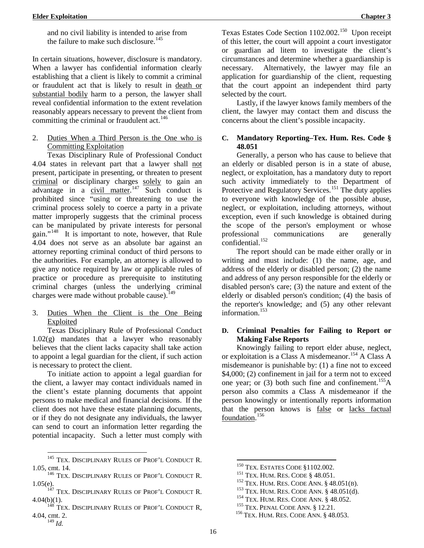and no civil liability is intended to arise from the failure to make such disclosure.<sup>[145](#page-25-0)</sup>

In certain situations, however, disclosure is mandatory. When a lawyer has confidential information clearly establishing that a client is likely to commit a criminal or fraudulent act that is likely to result in death or substantial bodily harm to a person, the lawyer shall reveal confidential information to the extent revelation reasonably appears necessary to prevent the client from committing the criminal or fraudulent act.<sup>[146](#page-25-1)</sup>

2. Duties When a Third Person is the One who is Committing Exploitation

Texas Disciplinary Rule of Professional Conduct 4.04 states in relevant part that a lawyer shall not present, participate in presenting, or threaten to present criminal or disciplinary charges solely to gain an advantage in a civil matter.<sup>[147](#page-25-2)</sup> Such conduct is prohibited since "using or threatening to use the criminal process solely to coerce a party in a private matter improperly suggests that the criminal process can be manipulated by private interests for personal gain."[148](#page-25-3) It is important to note, however, that Rule 4.04 does not serve as an absolute bar against an attorney reporting criminal conduct of third persons to the authorities. For example, an attorney is allowed to give any notice required by law or applicable rules of practice or procedure as prerequisite to instituting criminal charges (unless the underlying criminal charges were made without probable cause).<sup>[149](#page-25-4)</sup>

3. Duties When the Client is the One Being Exploited

Texas Disciplinary Rule of Professional Conduct 1.02(g) mandates that a lawyer who reasonably believes that the client lacks capacity shall take action to appoint a legal guardian for the client, if such action is necessary to protect the client.

To initiate action to appoint a legal guardian for the client, a lawyer may contact individuals named in the client's estate planning documents that appoint persons to make medical and financial decisions. If the client does not have these estate planning documents, or if they do not designate any individuals, the lawyer can send to court an information letter regarding the potential incapacity. Such a letter must comply with

Texas Estates Code Section 1102.002.<sup>[150](#page-25-5)</sup> Upon receipt of this letter, the court will appoint a court investigator or guardian ad litem to investigate the client's circumstances and determine whether a guardianship is necessary. Alternatively, the lawyer may file an application for guardianship of the client, requesting that the court appoint an independent third party selected by the court.

Lastly, if the lawyer knows family members of the client, the lawyer may contact them and discuss the concerns about the client's possible incapacity.

#### **C. Mandatory Reporting–Tex. Hum. Res. Code § 48.051**

Generally, a person who has cause to believe that an elderly or disabled person is in a state of abuse, neglect, or exploitation, has a mandatory duty to report such activity immediately to the Department of Protective and Regulatory Services.<sup>[151](#page-25-1)</sup> The duty applies to everyone with knowledge of the possible abuse, neglect, or exploitation, including attorneys, without exception, even if such knowledge is obtained during the scope of the person's employment or whose professional communications are generally confidential.<sup>[152](#page-25-6)</sup>

The report should can be made either orally or in writing and must include: (1) the name, age, and address of the elderly or disabled person; (2) the name and address of any person responsible for the elderly or disabled person's care; (3) the nature and extent of the elderly or disabled person's condition; (4) the basis of the reporter's knowledge; and (5) any other relevant information.<sup>[153](#page-25-2)</sup>

#### **D. Criminal Penalties for Failing to Report or Making False Reports**

Knowingly failing to report elder abuse, neglect, or exploitation is a Class A misdemeanor.<sup>[154](#page-25-7)</sup> A Class A misdemeanor is punishable by: (1) a fine not to exceed \$4,000; (2) confinement in jail for a term not to exceed one year; or  $(3)$  both such fine and confinement.<sup>[155](#page-25-8)</sup>A person also commits a Class A misdemeanor if the person knowingly or intentionally reports information that the person knows is false or lacks factual foundation. [156](#page-25-9)

<span id="page-25-5"></span><span id="page-25-0"></span> $^{145}$  Tex. DISCIPLINARY RULES OF PROF'L CONDUCT R. 1.05, cmt. 14.<br><sup>146</sup> Tex. Disciplinary Rules of Prof'l Conduct R.

<span id="page-25-6"></span><span id="page-25-2"></span><span id="page-25-1"></span><sup>1.05(</sup>e).  $^{147}$  TEX. DISCIPLINARY RULES OF PROF'L CONDUCT R.

<span id="page-25-9"></span><span id="page-25-8"></span><span id="page-25-7"></span><span id="page-25-4"></span><span id="page-25-3"></span> $4.04(b)(1)$ .<br><sup>148</sup> Tex. Disciplinary Rules of Prof'l Conduct R, 4.04, cmt. 2. <sup>149</sup> *Id.*

<sup>&</sup>lt;sup>150</sup> Tex. ESTATES CODE §1102.002.<br><sup>151</sup> Tex. HUM. RES. CODE § 48.051.<br><sup>152</sup> Tex. HUM. RES. CODE ANN. § 48.051(B).<br><sup>153</sup> Tex. HUM. RES. CODE ANN. § 48.051(d).<br><sup>154</sup> Tex. HUM. RES. CODE ANN. § 48.052.<br><sup>155</sup> Tex. PENAL CODE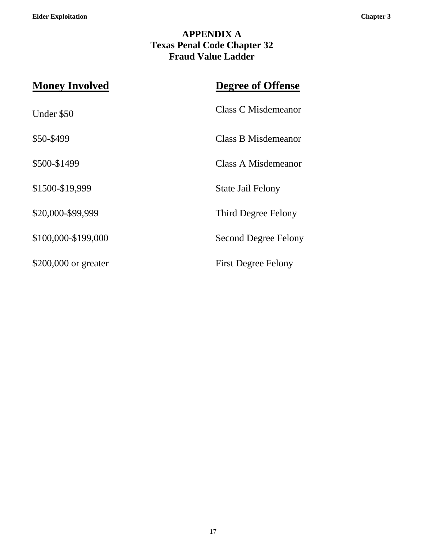# **APPENDIX A Texas Penal Code Chapter 32 Fraud Value Ladder**

| <b>Money Involved</b> | <b>Degree of Offense</b>    |
|-----------------------|-----------------------------|
| Under \$50            | Class C Misdemeanor         |
| \$50-\$499            | Class B Misdemeanor         |
| \$500-\$1499          | Class A Misdemeanor         |
| \$1500-\$19,999       | State Jail Felony           |
| \$20,000-\$99,999     | Third Degree Felony         |
| \$100,000-\$199,000   | <b>Second Degree Felony</b> |
| \$200,000 or greater  | <b>First Degree Felony</b>  |